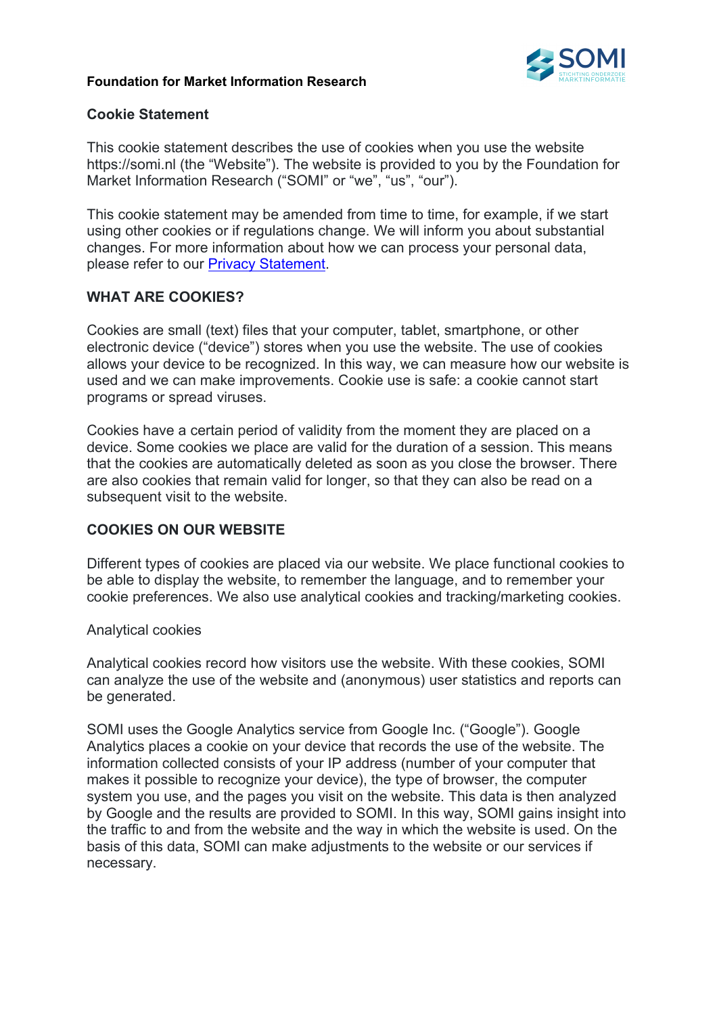#### **Foundation for Market Information Research**



### **Cookie Statement**

This cookie statement describes the use of cookies when you use the website https://somi.nl (the "Website"). The website is provided to you by the Foundation for Market Information Research ("SOMI" or "we", "us", "our").

This cookie statement may be amended from time to time, for example, if we start using other cookies or if regulations change. We will inform you about substantial changes. For more information about how we can process your personal data, please refer to our Privacy Statement.

### **WHAT ARE COOKIES?**

Cookies are small (text) files that your computer, tablet, smartphone, or other electronic device ("device") stores when you use the website. The use of cookies allows your device to be recognized. In this way, we can measure how our website is used and we can make improvements. Cookie use is safe: a cookie cannot start programs or spread viruses.

Cookies have a certain period of validity from the moment they are placed on a device. Some cookies we place are valid for the duration of a session. This means that the cookies are automatically deleted as soon as you close the browser. There are also cookies that remain valid for longer, so that they can also be read on a subsequent visit to the website.

# **COOKIES ON OUR WEBSITE**

Different types of cookies are placed via our website. We place functional cookies to be able to display the website, to remember the language, and to remember your cookie preferences. We also use analytical cookies and tracking/marketing cookies.

### Analytical cookies

Analytical cookies record how visitors use the website. With these cookies, SOMI can analyze the use of the website and (anonymous) user statistics and reports can be generated.

SOMI uses the Google Analytics service from Google Inc. ("Google"). Google Analytics places a cookie on your device that records the use of the website. The information collected consists of your IP address (number of your computer that makes it possible to recognize your device), the type of browser, the computer system you use, and the pages you visit on the website. This data is then analyzed by Google and the results are provided to SOMI. In this way, SOMI gains insight into the traffic to and from the website and the way in which the website is used. On the basis of this data, SOMI can make adjustments to the website or our services if necessary.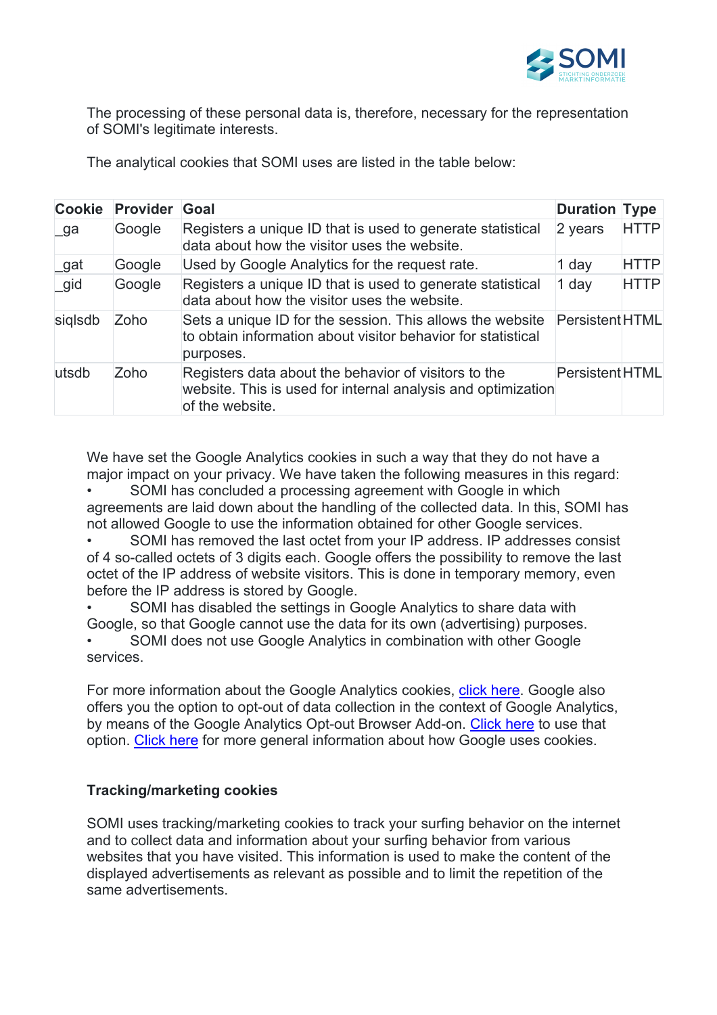

The processing of these personal data is, therefore, necessary for the representation of SOMI's legitimate interests.

The analytical cookies that SOMI uses are listed in the table below:

| <b>Cookie</b> | <b>Provider</b> | Goal                                                                                                                                    | <b>Duration Type</b>   |             |
|---------------|-----------------|-----------------------------------------------------------------------------------------------------------------------------------------|------------------------|-------------|
| ∣ ga          | Google          | Registers a unique ID that is used to generate statistical<br>data about how the visitor uses the website.                              | 2 years                | <b>HTTP</b> |
| _gat          | Google          | Used by Google Analytics for the request rate.                                                                                          | 1 day                  | <b>HTTP</b> |
| gid           | Google          | Registers a unique ID that is used to generate statistical<br>data about how the visitor uses the website.                              | 1 day                  | <b>HTTP</b> |
| siglsdb       | Zoho            | Sets a unique ID for the session. This allows the website<br>to obtain information about visitor behavior for statistical<br>purposes.  | <b>Persistent HTML</b> |             |
| utsdb         | Zoho            | Registers data about the behavior of visitors to the<br>website. This is used for internal analysis and optimization<br>of the website. | PersistentHTML         |             |

We have set the Google Analytics cookies in such a way that they do not have a major impact on your privacy. We have taken the following measures in this regard:

SOMI has concluded a processing agreement with Google in which agreements are laid down about the handling of the collected data. In this, SOMI has not allowed Google to use the information obtained for other Google services.

SOMI has removed the last octet from your IP address. IP addresses consist of 4 so-called octets of 3 digits each. Google offers the possibility to remove the last octet of the IP address of website visitors. This is done in temporary memory, even before the IP address is stored by Google.

• SOMI has disabled the settings in Google Analytics to share data with Google, so that Google cannot use the data for its own (advertising) purposes.

• SOMI does not use Google Analytics in combination with other Google services.

For more information about the Google Analytics cookies, click here. Google also offers you the option to opt-out of data collection in the context of Google Analytics, by means of the Google Analytics Opt-out Browser Add-on. Click here to use that option. Click here for more general information about how Google uses cookies.

# **Tracking/marketing cookies**

SOMI uses tracking/marketing cookies to track your surfing behavior on the internet and to collect data and information about your surfing behavior from various websites that you have visited. This information is used to make the content of the displayed advertisements as relevant as possible and to limit the repetition of the same advertisements.